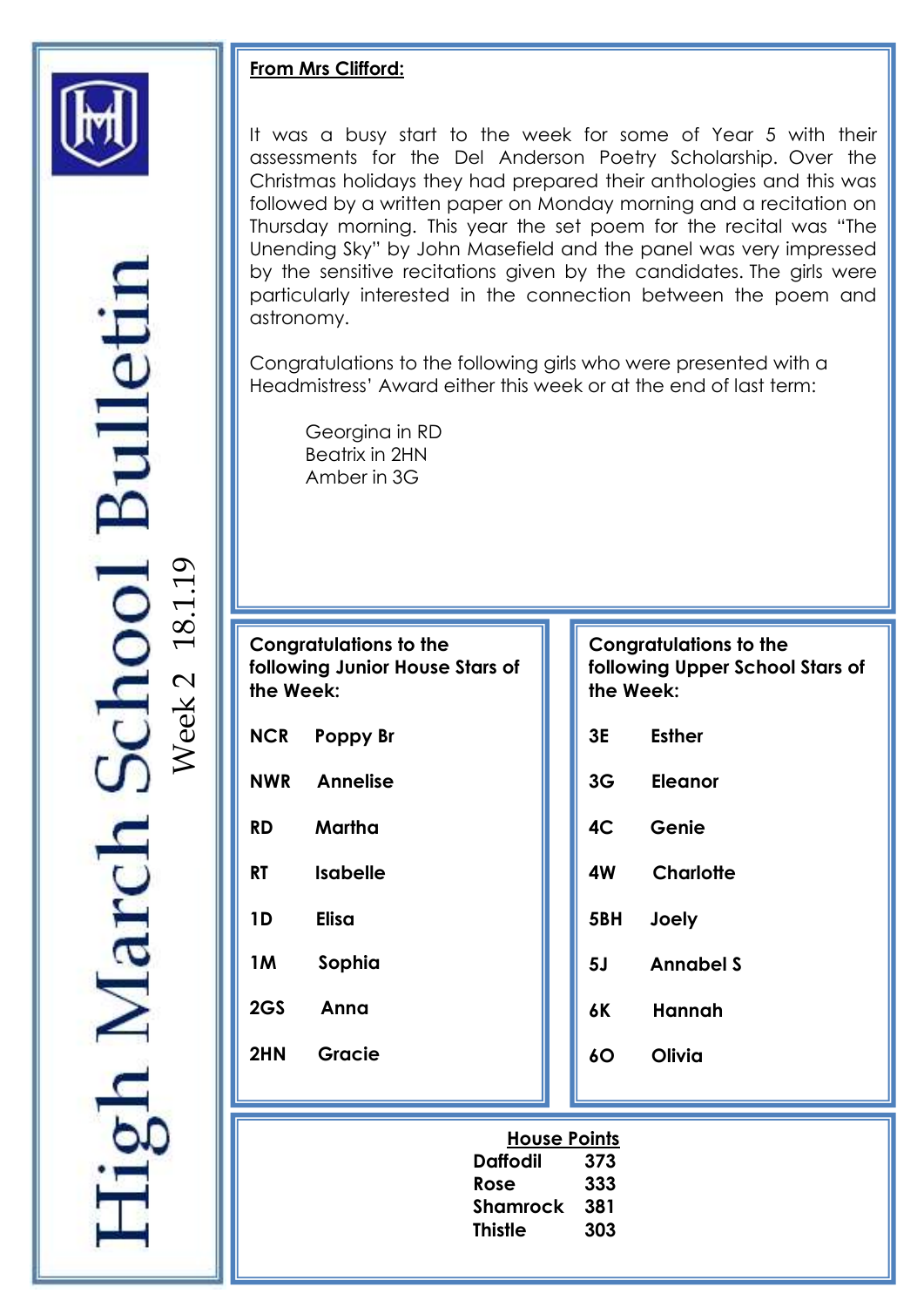

## **From Mrs Clifford:**

astronomy. It was a busy start to the week for some of Year 5 with their assessments for the Del Anderson Poetry Scholarship. Over the Christmas holidays they had prepared their anthologies and this was followed by a written paper on Monday morning and a recitation on Thursday morning. This year the set poem for the recital was "The Unending Sky" by John Masefield and the panel was very impressed by the sensitive recitations given by the candidates. The girls were particularly interested in the connection between the poem and

Congratulations to the following girls who were presented with a Headmistress' Award either this week or at the end of last term:

Georgina in RD Beatrix in 2HN Amber in 3G

**Congratulations to the following Junior House Stars of the Week:**

- **NCR Poppy Br**
- **NWR Annelise**

**RD Martha** 

- **RT Isabelle**
- **1D Elisa**
- **1M Sophia**
- **2GS Anna**

**2HN Gracie** 

### **Congratulations to the following Upper School Stars of the Week:**

- **3E Esther**
- **3G Eleanor**
- **4C Genie**
- **4W Charlotte** 
	- **5BH Joely**
	- **5J Annabel S**
	- **6K Hannah**
	- **6O Olivia**

| <b>House Points</b> |     |
|---------------------|-----|
| <b>Daffodil</b>     | 373 |
| Rose                | 333 |
| Shamrock            | 381 |
| Thistle             | 303 |

**nool** Bullet  $\mathcal{O}$ 2 18.1.1 Week

gh March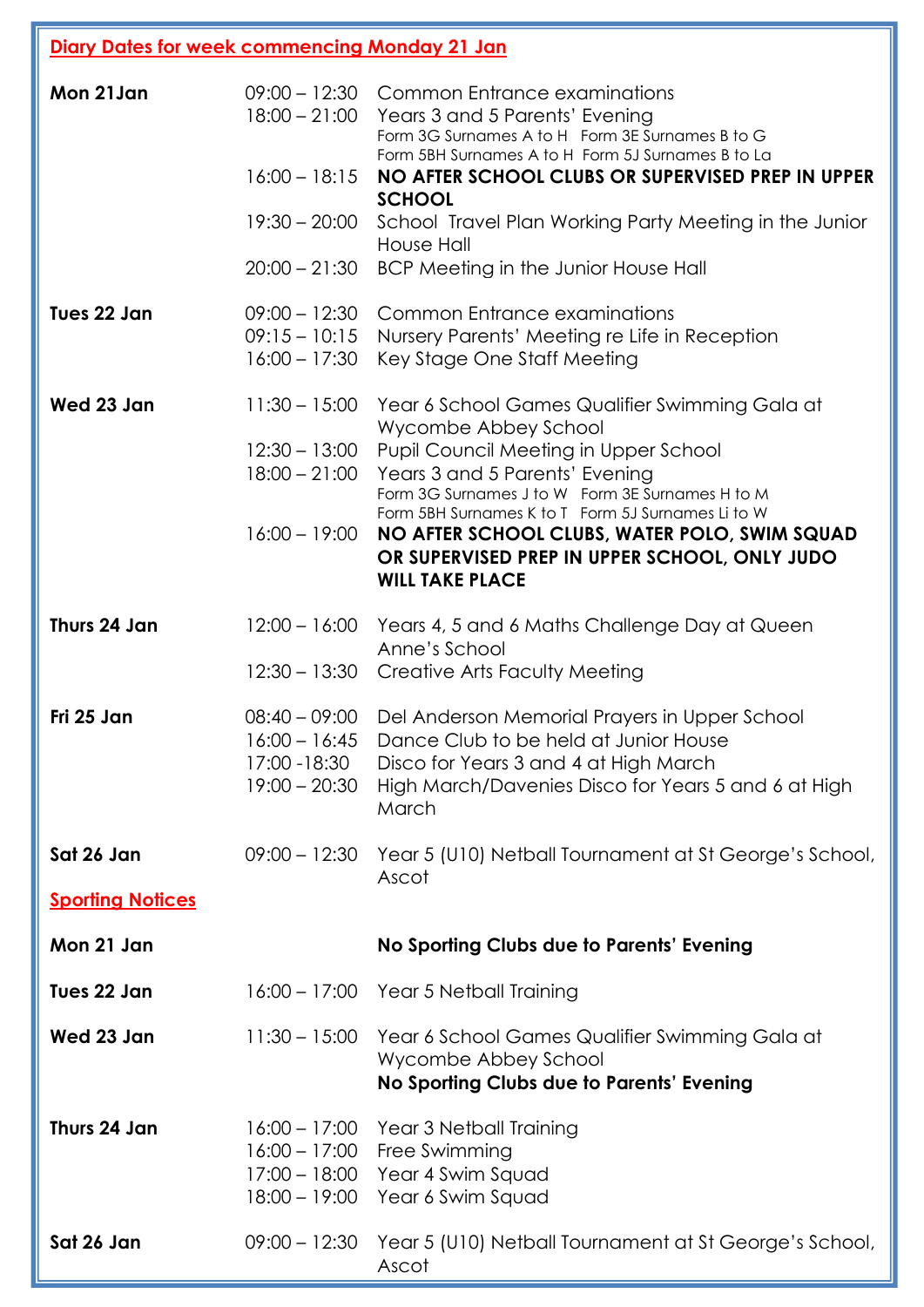| Diary Dates for week commencing Monday 21 Jan |                                                     |                                                                                                                                                                                                               |
|-----------------------------------------------|-----------------------------------------------------|---------------------------------------------------------------------------------------------------------------------------------------------------------------------------------------------------------------|
| Mon 21 Jan                                    |                                                     | 09:00 - 12:30 Common Entrance examinations<br>18:00 - 21:00 Years 3 and 5 Parents' Evening<br>Form 3G Surnames A to H Form 3E Surnames B to G<br>Form 5BH Surnames A to H Form 5J Surnames B to La            |
|                                               | $16:00 - 18:15$                                     | NO AFTER SCHOOL CLUBS OR SUPERVISED PREP IN UPPER<br><b>SCHOOL</b>                                                                                                                                            |
|                                               | $19:30 - 20:00$                                     | School Travel Plan Working Party Meeting in the Junior<br>House Hall                                                                                                                                          |
|                                               | $20:00 - 21:30$                                     | BCP Meeting in the Junior House Hall                                                                                                                                                                          |
| Tues 22 Jan                                   | $09:15 - 10:15$<br>$16:00 - 17:30$                  | 09:00 - 12:30 Common Entrance examinations<br>Nursery Parents' Meeting re Life in Reception<br>Key Stage One Staff Meeting                                                                                    |
| Wed 23 Jan                                    | $11:30 - 15:00$                                     | Year 6 School Games Qualifier Swimming Gala at                                                                                                                                                                |
|                                               | $12:30 - 13:00$<br>$18:00 - 21:00$                  | Wycombe Abbey School<br>Pupil Council Meeting in Upper School<br>Years 3 and 5 Parents' Evening<br>Form 3G Surnames J to W Form 3E Surnames H to M<br>Form 5BH Surnames K to T Form 5J Surnames Li to W       |
|                                               | $16:00 - 19:00$                                     | NO AFTER SCHOOL CLUBS, WATER POLO, SWIM SQUAD<br>OR SUPERVISED PREP IN UPPER SCHOOL, ONLY JUDO<br><b>WILL TAKE PLACE</b>                                                                                      |
| Thurs 24 Jan                                  |                                                     | 12:00 - 16:00 Years 4, 5 and 6 Maths Challenge Day at Queen<br>Anne's School                                                                                                                                  |
|                                               |                                                     | 12:30 – 13:30 Creative Arts Faculty Meeting                                                                                                                                                                   |
| Fri 25 Jan                                    | $16:00 - 16:45$<br>17:00 - 18:30<br>$19:00 - 20:30$ | 08:40 - 09:00 Del Anderson Memorial Prayers in Upper School<br>Dance Club to be held at Junior House<br>Disco for Years 3 and 4 at High March<br>High March/Davenies Disco for Years 5 and 6 at High<br>March |
| Sat 26 Jan                                    |                                                     | 09:00 - 12:30 Year 5 (U10) Netball Tournament at St George's School,<br>Ascot                                                                                                                                 |
| <b>Sporting Notices</b>                       |                                                     |                                                                                                                                                                                                               |
| Mon 21 Jan                                    |                                                     | No Sporting Clubs due to Parents' Evening                                                                                                                                                                     |
| Tues 22 Jan                                   |                                                     | 16:00 - 17:00 Year 5 Netball Training                                                                                                                                                                         |
| Wed 23 Jan                                    |                                                     | 11:30 - 15:00 Year 6 School Games Qualifier Swimming Gala at<br>Wycombe Abbey School<br>No Sporting Clubs due to Parents' Evening                                                                             |
| Thurs 24 Jan                                  | $16:00 - 17:00$<br>$17:00 - 18:00$                  | 16:00 - 17:00 Year 3 Netball Training<br>Free Swimming<br>Year 4 Swim Squad<br>18:00 - 19:00  Year 6 Swim Squad                                                                                               |
| Sat 26 Jan                                    | $09:00 - 12:30$                                     | Year 5 (U10) Netball Tournament at St George's School,<br>Ascot                                                                                                                                               |